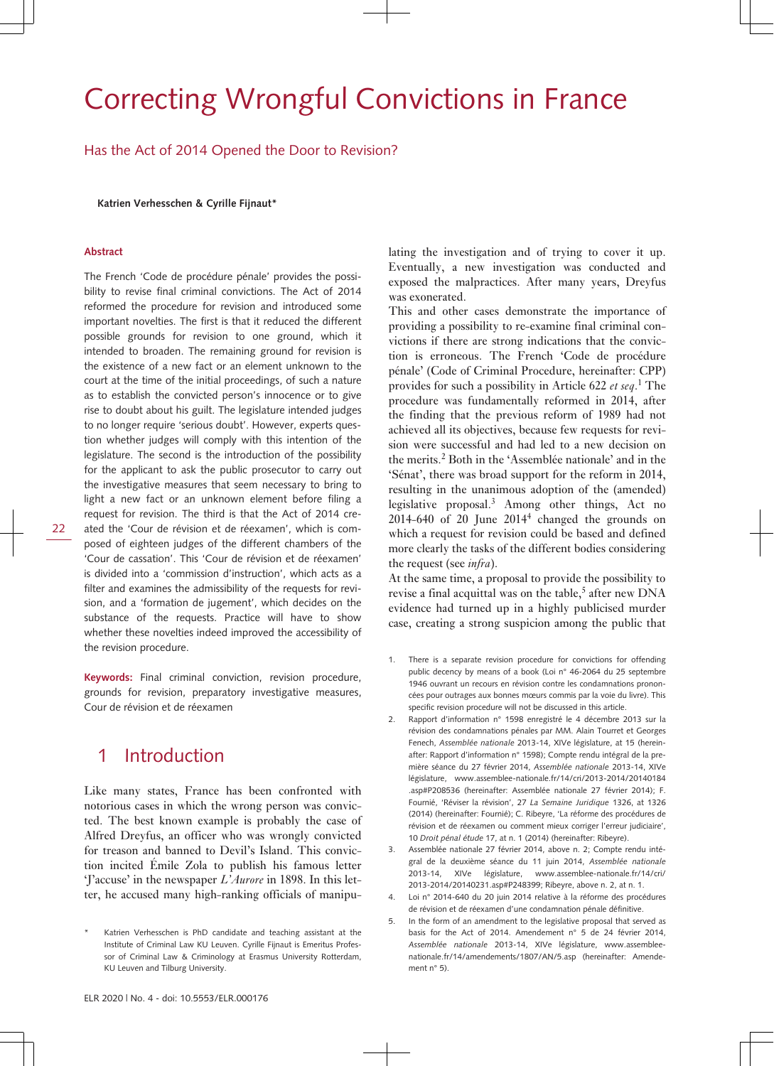# Correcting Wrongful Convictions in France

Has the Act of 2014 Opened the Door to Revision?

**Katrien Verhesschen & Cyrille Fijnaut\***

#### **Abstract**

The French 'Code de procédure pénale' provides the possibility to revise final criminal convictions. The Act of 2014 reformed the procedure for revision and introduced some important novelties. The first is that it reduced the different possible grounds for revision to one ground, which it intended to broaden. The remaining ground for revision is the existence of a new fact or an element unknown to the court at the time of the initial proceedings, of such a nature as to establish the convicted person's innocence or to give rise to doubt about his guilt. The legislature intended judges to no longer require 'serious doubt'. However, experts question whether judges will comply with this intention of the legislature. The second is the introduction of the possibility for the applicant to ask the public prosecutor to carry out the investigative measures that seem necessary to bring to light a new fact or an unknown element before filing a request for revision. The third is that the Act of 2014 created the 'Cour de révision et de réexamen', which is composed of eighteen judges of the different chambers of the 'Cour de cassation'. This 'Cour de révision et de réexamen' is divided into a 'commission d'instruction', which acts as a filter and examines the admissibility of the requests for revision, and a 'formation de jugement', which decides on the substance of the requests. Practice will have to show whether these novelties indeed improved the accessibility of the revision procedure.

**Keywords:** Final criminal conviction, revision procedure, grounds for revision, preparatory investigative measures, Cour de révision et de réexamen

### 1 Introduction

Like many states, France has been confronted with notorious cases in which the wrong person was convicted. The best known example is probably the case of Alfred Dreyfus, an officer who was wrongly convicted for treason and banned to Devil's Island. This conviction incited Émile Zola to publish his famous letter 'J'accuse' in the newspaper *L'Aurore* in 1898. In this letter, he accused many high-ranking officials of manipu-

lating the investigation and of trying to cover it up. Eventually, a new investigation was conducted and exposed the malpractices. After many years, Dreyfus was exonerated.

This and other cases demonstrate the importance of providing a possibility to re-examine final criminal convictions if there are strong indications that the conviction is erroneous. The French 'Code de procédure pénale' (Code of Criminal Procedure, hereinafter: CPP) provides for such a possibility in Article 622 *et seq*. 1 The procedure was fundamentally reformed in 2014, after the finding that the previous reform of 1989 had not achieved all its objectives, because few requests for revision were successful and had led to a new decision on the merits.<sup>2</sup> Both in the 'Assemblée nationale' and in the 'Sénat', there was broad support for the reform in 2014, resulting in the unanimous adoption of the (amended) legislative proposal.<sup>3</sup> Among other things, Act no  $2014-640$  of  $20$  June  $2014<sup>4</sup>$  changed the grounds on which a request for revision could be based and defined more clearly the tasks of the different bodies considering the request (see *infra*).

At the same time, a proposal to provide the possibility to revise a final acquittal was on the table,<sup>5</sup> after new DNA evidence had turned up in a highly publicised murder case, creating a strong suspicion among the public that

- 1. There is a separate revision procedure for convictions for offending public decency by means of a book (Loi n° 46-2064 du 25 septembre 1946 ouvrant un recours en révision contre les condamnations prononcées pour outrages aux bonnes mœurs commis par la voie du livre). This specific revision procedure will not be discussed in this article.
- 2. Rapport d'information n° 1598 enregistré le 4 décembre 2013 sur la révision des condamnations pénales par MM. Alain Tourret et Georges Fenech, *Assemblée nationale* 2013-14, XIVe législature, at 15 (hereinafter: Rapport d'information n° 1598); Compte rendu intégral de la première séance du 27 février 2014, *Assemblée nationale* 2013-14, XIVe législature, [www.assemblee-nationale.fr/14/cri/2013-2014/20140184](http://www.assemblee-nationale.fr/14/cri/2013-2014/20140184.asp#P208536) [.asp#P208536](http://www.assemblee-nationale.fr/14/cri/2013-2014/20140184.asp#P208536) (hereinafter: Assemblée nationale 27 février 2014); F. Fournié, 'Réviser la révision', 27 *La Semaine Juridique* 1326, at 1326 (2014) (hereinafter: Fournié); C. Ribeyre, 'La réforme des procédures de révision et de réexamen ou comment mieux corriger l'erreur judiciaire', 10 *Droit pénal étude* 17, at n. 1 (2014) (hereinafter: Ribeyre).
- 3. Assemblée nationale 27 février 2014, above n. 2; Compte rendu intégral de la deuxième séance du 11 juin 2014, *Assemblée nationale* 2013-14, XIVe législature, [www.assemblee-nationale.fr/14/cri/](http://www.assemblee-nationale.fr/14/cri/2013-2014/20140231.asp#P248399;) [2013-2014/20140231.asp#P248399;](http://www.assemblee-nationale.fr/14/cri/2013-2014/20140231.asp#P248399;) Ribeyre, above n. 2, at n. 1.
- 4. Loi n° 2014-640 du 20 juin 2014 relative à la réforme des procédures de révision et de réexamen d'une condamnation pénale définitive.
- 5. In the form of an amendment to the legislative proposal that served as basis for the Act of 2014. Amendement n° 5 de 24 février 2014, *Assemblée nationale* 2013-14, XIVe législature, [www.assemblee](http://www.assemblee-nationale.fr/14/amendements/1807/AN/5.asp)[nationale.fr/14/amendements/1807/AN/5.asp](http://www.assemblee-nationale.fr/14/amendements/1807/AN/5.asp) (hereinafter: Amendement n° 5).

Katrien Verhesschen is PhD candidate and teaching assistant at the Institute of Criminal Law KU Leuven. Cyrille Fijnaut is Emeritus Professor of Criminal Law & Criminology at Erasmus University Rotterdam, KU Leuven and Tilburg University.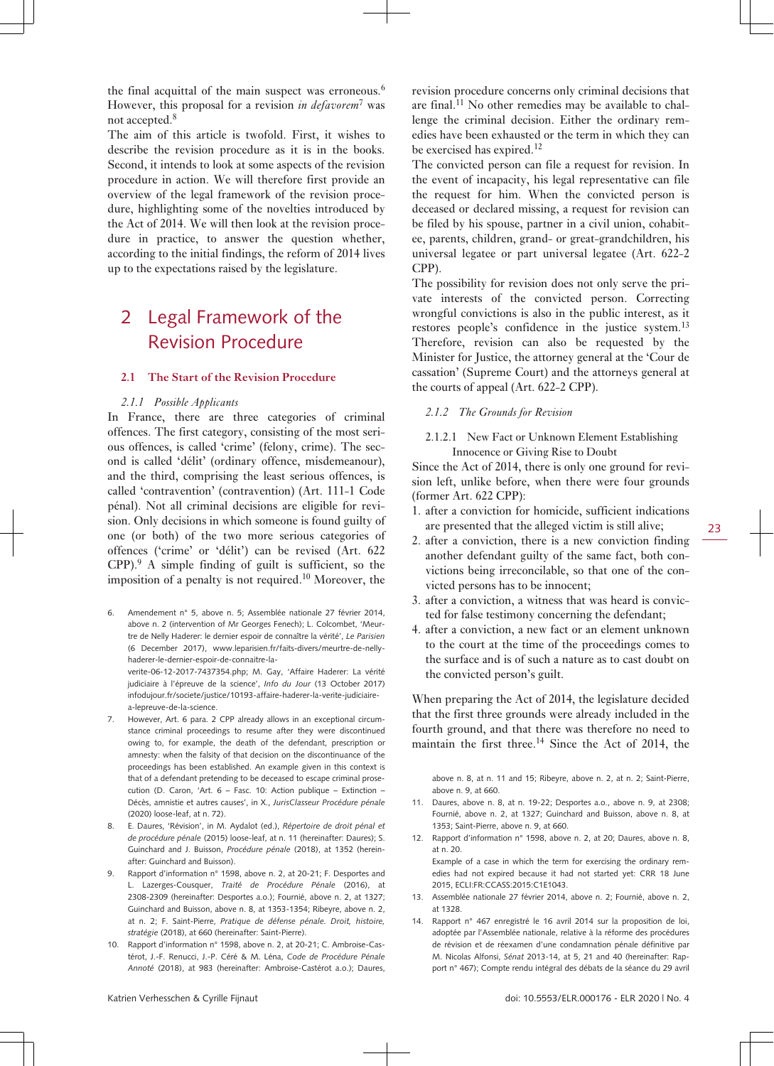the final acquittal of the main suspect was erroneous.<sup>6</sup> However, this proposal for a revision *in defavorem*<sup>7</sup> was not accepted.<sup>8</sup>

The aim of this article is twofold. First, it wishes to describe the revision procedure as it is in the books. Second, it intends to look at some aspects of the revision procedure in action. We will therefore first provide an overview of the legal framework of the revision procedure, highlighting some of the novelties introduced by the Act of 2014. We will then look at the revision procedure in practice, to answer the question whether, according to the initial findings, the reform of 2014 lives up to the expectations raised by the legislature.

# 2 Legal Framework of the Revision Procedure

#### **2.1 The Start of the Revision Procedure**

#### *2.1.1 Possible Applicants*

In France, there are three categories of criminal offences. The first category, consisting of the most serious offences, is called 'crime' (felony, crime). The second is called 'délit' (ordinary offence, misdemeanour), and the third, comprising the least serious offences, is called 'contravention' (contravention) (Art. 111-1 Code pénal). Not all criminal decisions are eligible for revision. Only decisions in which someone is found guilty of one (or both) of the two more serious categories of offences ('crime' or 'délit') can be revised (Art. 622 CPP).<sup>9</sup> A simple finding of guilt is sufficient, so the imposition of a penalty is not required.<sup>10</sup> Moreover, the

6. Amendement n° 5, above n. 5; Assemblée nationale 27 février 2014, above n. 2 (intervention of Mr Georges Fenech); L. Colcombet, 'Meurtre de Nelly Haderer: le dernier espoir de connaître la vérité', *Le Parisien* (6 December 2017), [www.leparisien.fr/faits-divers/meurtre-de-nelly](http://www.leparisien.fr/faits-divers/meurtre-de-nelly-haderer-le-dernier-espoir-de-connaitre-la-verite-06-12-2017-7437354.php;)[haderer-le-dernier-espoir-de-connaitre-la-](http://www.leparisien.fr/faits-divers/meurtre-de-nelly-haderer-le-dernier-espoir-de-connaitre-la-verite-06-12-2017-7437354.php;)

[verite-06-12-2017-7437354.php;](http://www.leparisien.fr/faits-divers/meurtre-de-nelly-haderer-le-dernier-espoir-de-connaitre-la-verite-06-12-2017-7437354.php;) M. Gay, 'Affaire Haderer: La vérité judiciaire à l'épreuve de la science', *Info du Jour* (13 October 2017) [infodujour.fr/societe/justice/10193-affaire-haderer-la-verite-judiciaire](http://infodujour.fr/societe/justice/10193-affaire-haderer-la-verite-judiciaire-a-lepreuve-de-la-science)[a-lepreuve-de-la-science](http://infodujour.fr/societe/justice/10193-affaire-haderer-la-verite-judiciaire-a-lepreuve-de-la-science).

- 7. However, Art. 6 para. 2 CPP already allows in an exceptional circumstance criminal proceedings to resume after they were discontinued owing to, for example, the death of the defendant, prescription or amnesty: when the falsity of that decision on the discontinuance of the proceedings has been established. An example given in this context is that of a defendant pretending to be deceased to escape criminal prosecution (D. Caron, 'Art.  $6 -$  Fasc. 10: Action publique – Extinction – Décès, amnistie et autres causes', in X., *JurisClasseur Procédure pénale* (2020) loose-leaf, at n. 72).
- 8. E. Daures, 'Révision', in M. Aydalot (ed.), *Répertoire de droit pénal et de procédure pénale* (2015) loose-leaf, at n. 11 (hereinafter: Daures); S. Guinchard and J. Buisson, *Procédure pénale* (2018), at 1352 (hereinafter: Guinchard and Buisson).
- 9. Rapport d'information n° 1598, above n. 2, at 20-21; F. Desportes and L. Lazerges-Cousquer, *Traité de Procédure Pénale* (2016), at 2308-2309 (hereinafter: Desportes a.o.); Fournié, above n. 2, at 1327; Guinchard and Buisson, above n. 8, at 1353-1354; Ribeyre, above n. 2, at n. 2; F. Saint-Pierre, *Pratique de défense pénale. Droit, histoire, stratégie* (2018), at 660 (hereinafter: Saint-Pierre).
- 10. Rapport d'information n° 1598, above n. 2, at 20-21; C. Ambroise-Castérot, J.-F. Renucci, J.-P. Céré & M. Léna, *Code de Procédure Pénale Annoté* (2018), at 983 (hereinafter: Ambroise-Castérot a.o.); Daures,

revision procedure concerns only criminal decisions that are final.<sup>11</sup> No other remedies may be available to challenge the criminal decision. Either the ordinary remedies have been exhausted or the term in which they can be exercised has expired.<sup>12</sup>

The convicted person can file a request for revision. In the event of incapacity, his legal representative can file the request for him. When the convicted person is deceased or declared missing, a request for revision can be filed by his spouse, partner in a civil union, cohabitee, parents, children, grand- or great-grandchildren, his universal legatee or part universal legatee (Art. 622-2 CPP).

The possibility for revision does not only serve the private interests of the convicted person. Correcting wrongful convictions is also in the public interest, as it restores people's confidence in the justice system.<sup>13</sup> Therefore, revision can also be requested by the Minister for Justice, the attorney general at the 'Cour de cassation' (Supreme Court) and the attorneys general at the courts of appeal (Art. 622-2 CPP).

#### *2.1.2 The Grounds for Revision*

#### 2.1.2.1 New Fact or Unknown Element Establishing Innocence or Giving Rise to Doubt

Since the Act of 2014, there is only one ground for revision left, unlike before, when there were four grounds (former Art. 622 CPP):

1. after a conviction for homicide, sufficient indications are presented that the alleged victim is still alive;

- 2. after a conviction, there is a new conviction finding another defendant guilty of the same fact, both convictions being irreconcilable, so that one of the convicted persons has to be innocent;
- 3. after a conviction, a witness that was heard is convicted for false testimony concerning the defendant;
- 4. after a conviction, a new fact or an element unknown to the court at the time of the proceedings comes to the surface and is of such a nature as to cast doubt on the convicted person's guilt.

When preparing the Act of 2014, the legislature decided that the first three grounds were already included in the fourth ground, and that there was therefore no need to maintain the first three.<sup>14</sup> Since the Act of 2014, the

above n. 8, at n. 11 and 15; Ribeyre, above n. 2, at n. 2; Saint-Pierre, above n. 9, at 660.

- 11. Daures, above n. 8, at n. 19-22; Desportes a.o., above n. 9, at 2308; Fournié, above n. 2, at 1327; Guinchard and Buisson, above n. 8, at 1353; Saint-Pierre, above n. 9, at 660.
- 12. Rapport d'information n° 1598, above n. 2, at 20; Daures, above n. 8, at n. 20.

Example of a case in which the term for exercising the ordinary remedies had not expired because it had not started yet: CRR 18 June 2015, ECLI:FR:CCASS:2015:C1E1043.

- 13. Assemblée nationale 27 février 2014, above n. 2; Fournié, above n. 2, at 1328.
- 14. Rapport n° 467 enregistré le 16 avril 2014 sur la proposition de loi, adoptée par l'Assemblée nationale, relative à la réforme des procédures de révision et de réexamen d'une condamnation pénale définitive par M. Nicolas Alfonsi, *Sénat* 2013-14, at 5, 21 and 40 (hereinafter: Rapport n° 467); Compte rendu intégral des débats de la séance du 29 avril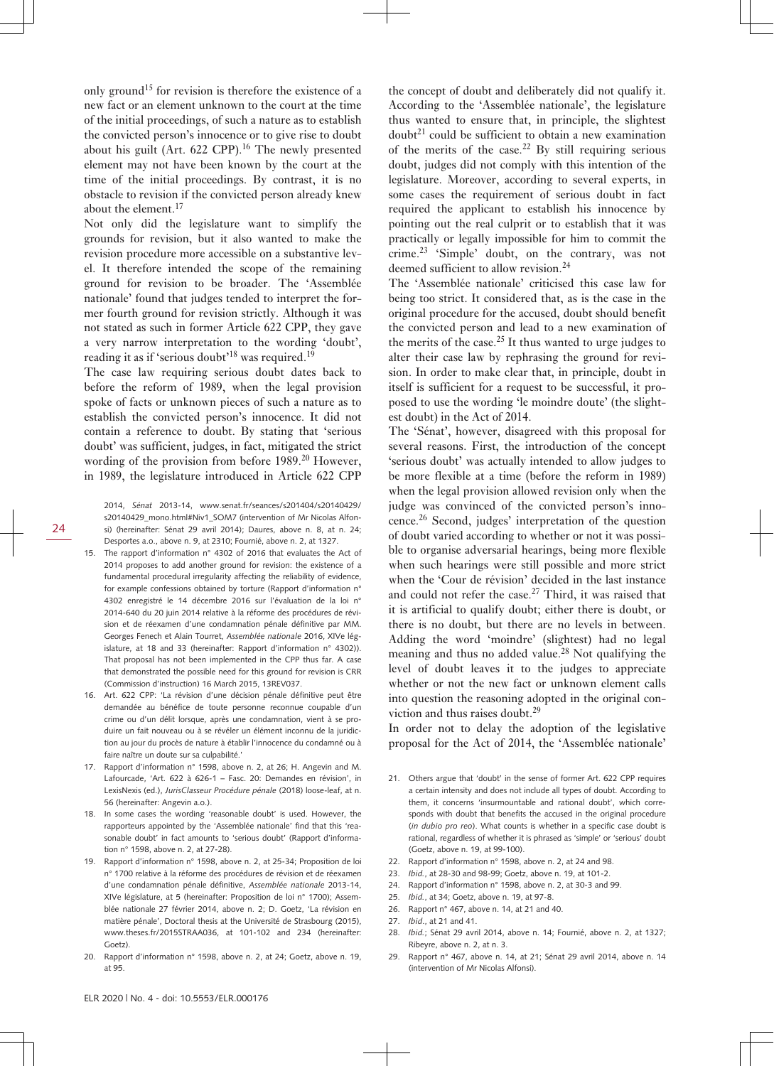only ground<sup>15</sup> for revision is therefore the existence of a new fact or an element unknown to the court at the time of the initial proceedings, of such a nature as to establish the convicted person's innocence or to give rise to doubt about his guilt (Art.  $622$  CPP).<sup>16</sup> The newly presented element may not have been known by the court at the time of the initial proceedings. By contrast, it is no obstacle to revision if the convicted person already knew about the element.<sup>17</sup>

Not only did the legislature want to simplify the grounds for revision, but it also wanted to make the revision procedure more accessible on a substantive level. It therefore intended the scope of the remaining ground for revision to be broader. The 'Assemblée nationale' found that judges tended to interpret the former fourth ground for revision strictly. Although it was not stated as such in former Article 622 CPP, they gave a very narrow interpretation to the wording 'doubt', reading it as if 'serious doubt'<sup>18</sup> was required.<sup>19</sup>

The case law requiring serious doubt dates back to before the reform of 1989, when the legal provision spoke of facts or unknown pieces of such a nature as to establish the convicted person's innocence. It did not contain a reference to doubt. By stating that 'serious doubt' was sufficient, judges, in fact, mitigated the strict wording of the provision from before  $1989<sup>20</sup>$  However, in 1989, the legislature introduced in Article 622 CPP

2014, *Sénat* 2013-14, [www.senat.fr/seances/s201404/s20140429/](http://www.senat.fr/seances/s201404/s20140429/s20140429_mono.html#Niv1_SOM7) [s20140429\\_mono.html#Niv1\\_SOM7](http://www.senat.fr/seances/s201404/s20140429/s20140429_mono.html#Niv1_SOM7) (intervention of Mr Nicolas Alfonsi) (hereinafter: Sénat 29 avril 2014); Daures, above n. 8, at n. 24; Desportes a.o., above n. 9, at 2310; Fournié, above n. 2, at 1327.

- 15. The rapport d'information n° 4302 of 2016 that evaluates the Act of 2014 proposes to add another ground for revision: the existence of a fundamental procedural irregularity affecting the reliability of evidence, for example confessions obtained by torture (Rapport d'information n° 4302 enregistré le 14 décembre 2016 sur l'évaluation de la loi n° 2014-640 du 20 juin 2014 relative à la réforme des procédures de révision et de réexamen d'une condamnation pénale définitive par MM. Georges Fenech et Alain Tourret, *Assemblée nationale* 2016, XIVe législature, at 18 and 33 (hereinafter: Rapport d'information n° 4302)). That proposal has not been implemented in the CPP thus far. A case that demonstrated the possible need for this ground for revision is CRR (Commission d'instruction) 16 March 2015, 13REV037.
- 16. Art. 622 CPP: 'La révision d'une décision pénale définitive peut être demandée au bénéfice de toute personne reconnue coupable d'un crime ou d'un délit lorsque, après une condamnation, vient à se produire un fait nouveau ou à se révéler un élément inconnu de la juridiction au jour du procès de nature à établir l'innocence du condamné ou à faire naître un doute sur sa culpabilité.'
- 17. Rapport d'information n° 1598, above n. 2, at 26; H. Angevin and M. Lafourcade, 'Art. 622 à 626-1 – Fasc. 20: Demandes en révision', in LexisNexis (ed.), *JurisClasseur Procédure pénale* (2018) loose-leaf, at n. 56 (hereinafter: Angevin a.o.).
- 18. In some cases the wording 'reasonable doubt' is used. However, the rapporteurs appointed by the 'Assemblée nationale' find that this 'reasonable doubt' in fact amounts to 'serious doubt' (Rapport d'information n° 1598, above n. 2, at 27-28).
- 19. Rapport d'information n° 1598, above n. 2, at 25-34; Proposition de loi n° 1700 relative à la réforme des procédures de révision et de réexamen d'une condamnation pénale définitive, *Assemblée nationale* 2013-14, XIVe législature, at 5 (hereinafter: Proposition de loi n° 1700); Assemblée nationale 27 février 2014, above n. 2; D. Goetz, 'La révision en matière pénale', Doctoral thesis at the Université de Strasbourg (2015), [www.theses.fr/2015STRAA036,](http://www.theses.fr/2015STRAA036,) at 101-102 and 234 (hereinafter: Goetz)
- 20. Rapport d'information n° 1598, above n. 2, at 24; Goetz, above n. 19, at 95.

the concept of doubt and deliberately did not qualify it. According to the 'Assemblée nationale', the legislature thus wanted to ensure that, in principle, the slightest doubt<sup>21</sup> could be sufficient to obtain a new examination of the merits of the case.<sup>22</sup> By still requiring serious doubt, judges did not comply with this intention of the legislature. Moreover, according to several experts, in some cases the requirement of serious doubt in fact required the applicant to establish his innocence by pointing out the real culprit or to establish that it was practically or legally impossible for him to commit the crime.<sup>23</sup> 'Simple' doubt, on the contrary, was not deemed sufficient to allow revision.<sup>24</sup>

The 'Assemblée nationale' criticised this case law for being too strict. It considered that, as is the case in the original procedure for the accused, doubt should benefit the convicted person and lead to a new examination of the merits of the case.<sup>25</sup> It thus wanted to urge judges to alter their case law by rephrasing the ground for revision. In order to make clear that, in principle, doubt in itself is sufficient for a request to be successful, it proposed to use the wording 'le moindre doute' (the slightest doubt) in the Act of 2014.

The 'Sénat', however, disagreed with this proposal for several reasons. First, the introduction of the concept 'serious doubt' was actually intended to allow judges to be more flexible at a time (before the reform in 1989) when the legal provision allowed revision only when the judge was convinced of the convicted person's innocence.26 Second, judges' interpretation of the question of doubt varied according to whether or not it was possible to organise adversarial hearings, being more flexible when such hearings were still possible and more strict when the 'Cour de révision' decided in the last instance and could not refer the case.27 Third, it was raised that it is artificial to qualify doubt; either there is doubt, or there is no doubt, but there are no levels in between. Adding the word 'moindre' (slightest) had no legal meaning and thus no added value.28 Not qualifying the level of doubt leaves it to the judges to appreciate whether or not the new fact or unknown element calls into question the reasoning adopted in the original conviction and thus raises doubt.<sup>29</sup>

In order not to delay the adoption of the legislative proposal for the Act of 2014, the 'Assemblée nationale'

- 21. Others argue that 'doubt' in the sense of former Art. 622 CPP requires a certain intensity and does not include all types of doubt. According to them, it concerns 'insurmountable and rational doubt', which corresponds with doubt that benefits the accused in the original procedure (*in dubio pro reo*). What counts is whether in a specific case doubt is rational, regardless of whether it is phrased as 'simple' or 'serious' doubt (Goetz, above n. 19, at 99-100).
- 22. Rapport d'information n° 1598, above n. 2, at 24 and 98.
- 23. *Ibid.*, at 28-30 and 98-99; Goetz, above n. 19, at 101-2.
- 24. Rapport d'information n° 1598, above n. 2, at 30-3 and 99.
- 25. *Ibid.*, at 34; Goetz, above n. 19, at 97-8.
- 26. Rapport n° 467, above n. 14, at 21 and 40.
- 27. *Ibid*., at 21 and 41.
- 28. *Ibid.*; Sénat 29 avril 2014, above n. 14; Fournié, above n. 2, at 1327; Ribeyre, above n. 2, at n. 3.
- 29. Rapport n° 467, above n. 14, at 21; Sénat 29 avril 2014, above n. 14 (intervention of Mr Nicolas Alfonsi).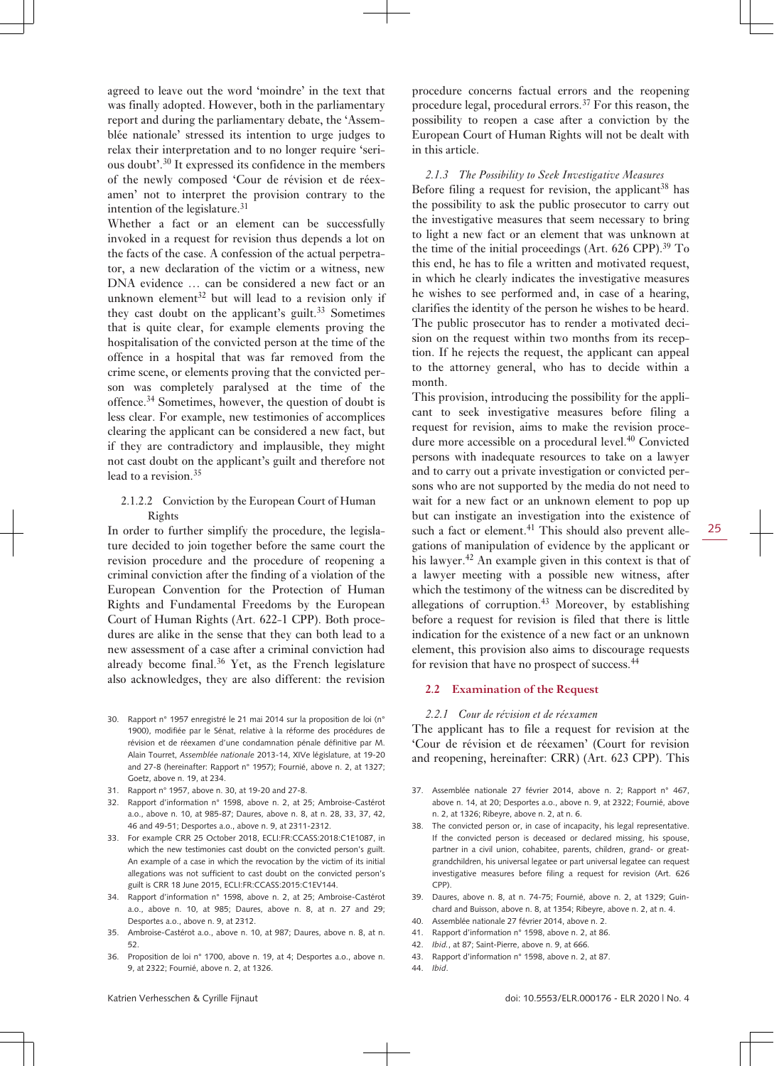agreed to leave out the word 'moindre' in the text that was finally adopted. However, both in the parliamentary report and during the parliamentary debate, the 'Assemblée nationale' stressed its intention to urge judges to relax their interpretation and to no longer require 'serious doubt'.<sup>30</sup> It expressed its confidence in the members of the newly composed 'Cour de révision et de réexamen' not to interpret the provision contrary to the intention of the legislature. $31$ 

Whether a fact or an element can be successfully invoked in a request for revision thus depends a lot on the facts of the case. A confession of the actual perpetrator, a new declaration of the victim or a witness, new DNA evidence … can be considered a new fact or an unknown element<sup>32</sup> but will lead to a revision only if they cast doubt on the applicant's guilt.<sup>33</sup> Sometimes that is quite clear, for example elements proving the hospitalisation of the convicted person at the time of the offence in a hospital that was far removed from the crime scene, or elements proving that the convicted person was completely paralysed at the time of the offence.<sup>34</sup> Sometimes, however, the question of doubt is less clear. For example, new testimonies of accomplices clearing the applicant can be considered a new fact, but if they are contradictory and implausible, they might not cast doubt on the applicant's guilt and therefore not lead to a revision.<sup>35</sup>

#### 2.1.2.2 Conviction by the European Court of Human Rights

In order to further simplify the procedure, the legislature decided to join together before the same court the revision procedure and the procedure of reopening a criminal conviction after the finding of a violation of the European Convention for the Protection of Human Rights and Fundamental Freedoms by the European Court of Human Rights (Art. 622-1 CPP). Both procedures are alike in the sense that they can both lead to a new assessment of a case after a criminal conviction had already become final. $36$  Yet, as the French legislature also acknowledges, they are also different: the revision

- 30. Rapport n° 1957 enregistré le 21 mai 2014 sur la proposition de loi (n° 1900), modifiée par le Sénat, relative à la réforme des procédures de révision et de réexamen d'une condamnation pénale définitive par M. Alain Tourret, *Assemblée nationale* 2013-14, XIVe législature, at 19-20 and 27-8 (hereinafter: Rapport n° 1957); Fournié, above n. 2, at 1327; Goetz, above n. 19, at 234.
- 31. Rapport n° 1957, above n. 30, at 19-20 and 27-8.
- 32. Rapport d'information n° 1598, above n. 2, at 25; Ambroise-Castérot a.o., above n. 10, at 985-87; Daures, above n. 8, at n. 28, 33, 37, 42, 46 and 49-51; Desportes a.o., above n. 9, at 2311-2312.
- 33. For example CRR 25 October 2018, ECLI:FR:CCASS:2018:C1E1087, in which the new testimonies cast doubt on the convicted person's guilt. An example of a case in which the revocation by the victim of its initial allegations was not sufficient to cast doubt on the convicted person's guilt is CRR 18 June 2015, ECLI:FR:CCASS:2015:C1EV144.
- 34. Rapport d'information n° 1598, above n. 2, at 25; Ambroise-Castérot a.o., above n. 10, at 985; Daures, above n. 8, at n. 27 and 29; Desportes a.o., above n. 9, at 2312.
- 35. Ambroise-Castérot a.o., above n. 10, at 987; Daures, above n. 8, at n. 52.
- 36. Proposition de loi n° 1700, above n. 19, at 4; Desportes a.o., above n. 9, at 2322; Fournié, above n. 2, at 1326.

procedure concerns factual errors and the reopening procedure legal, procedural errors.<sup>37</sup> For this reason, the possibility to reopen a case after a conviction by the European Court of Human Rights will not be dealt with in this article.

#### *2.1.3 The Possibility to Seek Investigative Measures*

Before filing a request for revision, the applicant  $38$  has the possibility to ask the public prosecutor to carry out the investigative measures that seem necessary to bring to light a new fact or an element that was unknown at the time of the initial proceedings (Art.  $626$  CPP).<sup>39</sup> To this end, he has to file a written and motivated request, in which he clearly indicates the investigative measures he wishes to see performed and, in case of a hearing, clarifies the identity of the person he wishes to be heard. The public prosecutor has to render a motivated decision on the request within two months from its reception. If he rejects the request, the applicant can appeal to the attorney general, who has to decide within a month.

This provision, introducing the possibility for the applicant to seek investigative measures before filing a request for revision, aims to make the revision procedure more accessible on a procedural level.<sup>40</sup> Convicted persons with inadequate resources to take on a lawyer and to carry out a private investigation or convicted persons who are not supported by the media do not need to wait for a new fact or an unknown element to pop up but can instigate an investigation into the existence of such a fact or element.<sup>41</sup> This should also prevent allegations of manipulation of evidence by the applicant or his lawyer.<sup>42</sup> An example given in this context is that of a lawyer meeting with a possible new witness, after which the testimony of the witness can be discredited by allegations of corruption. $43$  Moreover, by establishing before a request for revision is filed that there is little indication for the existence of a new fact or an unknown element, this provision also aims to discourage requests for revision that have no prospect of success.<sup>44</sup>

#### **2.2 Examination of the Request**

#### *2.2.1 Cour de révision et de réexamen*

The applicant has to file a request for revision at the 'Cour de révision et de réexamen' (Court for revision and reopening, hereinafter: CRR) (Art. 623 CPP). This

- 37. Assemblée nationale 27 février 2014, above n. 2; Rapport n° 467, above n. 14, at 20; Desportes a.o., above n. 9, at 2322; Fournié, above n. 2, at 1326; Ribeyre, above n. 2, at n. 6.
- 38. The convicted person or, in case of incapacity, his legal representative. If the convicted person is deceased or declared missing, his spouse, partner in a civil union, cohabitee, parents, children, grand- or greatgrandchildren, his universal legatee or part universal legatee can request investigative measures before filing a request for revision (Art. 626 CPP).
- 39. Daures, above n. 8, at n. 74-75; Fournié, above n. 2, at 1329; Guinchard and Buisson, above n. 8, at 1354; Ribeyre, above n. 2, at n. 4.
- 40. Assemblée nationale 27 février 2014, above n. 2.
- 41. Rapport d'information n° 1598, above n. 2, at 86.
- 42. *Ibid.*, at 87; Saint-Pierre, above n. 9, at 666.
- 43. Rapport d'information n° 1598, above n. 2, at 87.
- 44. *Ibid*.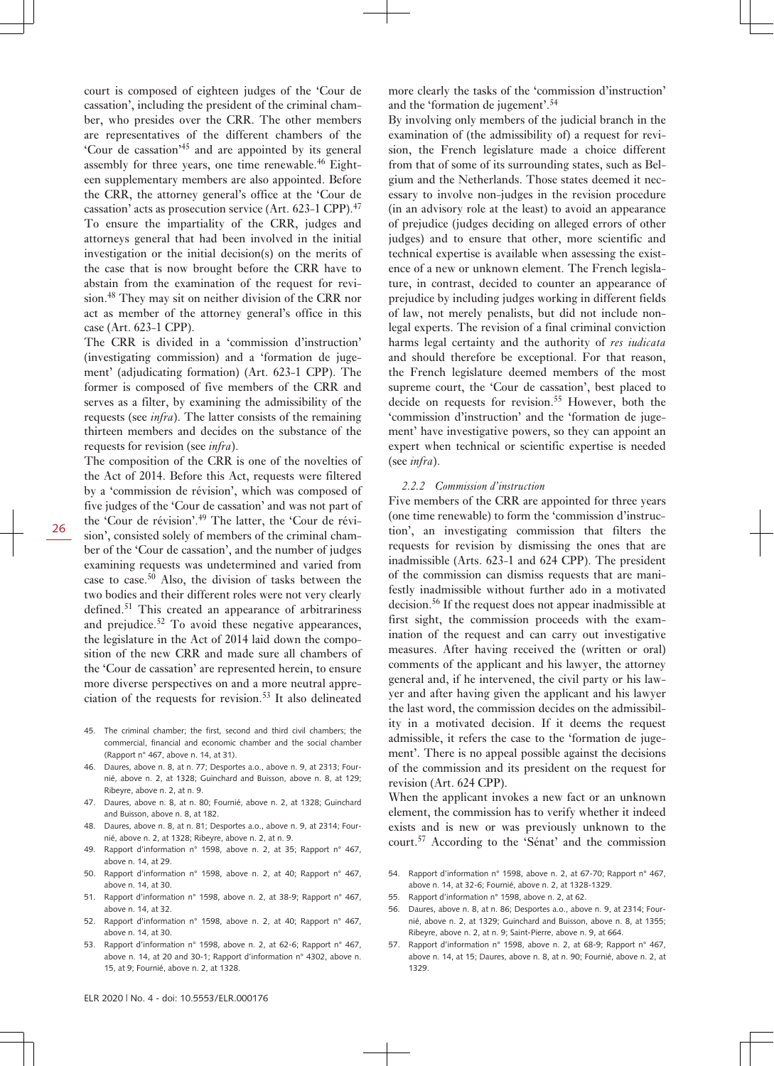court is composed of eighteen judges of the 'Cour de cassation', including the president of the criminal chamber, who presides over the CRR. The other members are representatives of the different chambers of the 'Cour de cassation'<sup>45</sup> and are appointed by its general assembly for three years, one time renewable. $46$  Eighteen supplementary members are also appointed. Before the CRR, the attorney general's office at the 'Cour de cassation' acts as prosecution service (Art. 623–1 CPP).<sup>47</sup> To ensure the impartiality of the CRR, judges and attorneys general that had been involved in the initial investigation or the initial decision(s) on the merits of the case that is now brought before the CRR have to abstain from the examination of the request for revision.<sup>48</sup> They may sit on neither division of the CRR nor act as member of the attorney general's office in this case (Art. 623-1 CPP).

The CRR is divided in a 'commission d'instruction' (investigating commission) and a 'formation de jugement' (adjudicating formation) (Art. 623-1 CPP). The former is composed of five members of the CRR and serves as a filter, by examining the admissibility of the requests (see *infra*). The latter consists of the remaining thirteen members and decides on the substance of the requests for revision (see *infra*).

The composition of the CRR is one of the novelties of the Act of 2014. Before this Act, requests were filtered by a 'commission de révision', which was composed of five judges of the 'Cour de cassation' and was not part of the 'Cour de révision'.49 The latter, the 'Cour de révision', consisted solely of members of the criminal chamber of the 'Cour de cassation', and the number of judges examining requests was undetermined and varied from case to case.50 Also, the division of tasks between the two bodies and their different roles were not very clearly defined.<sup>51</sup> This created an appearance of arbitrariness and prejudice.52 To avoid these negative appearances, the legislature in the Act of 2014 laid down the composition of the new CRR and made sure all chambers of the 'Cour de cassation' are represented herein, to ensure more diverse perspectives on and a more neutral appreciation of the requests for revision.53 It also delineated

- 45. The criminal chamber; the first, second and third civil chambers; the commercial, financial and economic chamber and the social chamber (Rapport n° 467, above n. 14, at 31).
- 46. Daures, above n. 8, at n. 77; Desportes a.o., above n. 9, at 2313; Fournié, above n. 2, at 1328; Guinchard and Buisson, above n. 8, at 129; Ribeyre, above n. 2, at n. 9.
- 47. Daures, above n. 8, at n. 80; Fournié, above n. 2, at 1328; Guinchard and Buisson, above n. 8, at 182.
- 48. Daures, above n. 8, at n. 81; Desportes a.o., above n. 9, at 2314; Fournié, above n. 2, at 1328; Ribeyre, above n. 2, at n. 9.
- 49. Rapport d'information n° 1598, above n. 2, at 35; Rapport n° 467, above n. 14, at 29.
- 50. Rapport d'information n° 1598, above n. 2, at 40; Rapport n° 467, above n. 14, at 30.
- 51. Rapport d'information n° 1598, above n. 2, at 38-9; Rapport n° 467, above n. 14, at 32.
- 52. Rapport d'information n° 1598, above n. 2, at 40; Rapport n° 467, above n. 14, at 30.
- 53. Rapport d'information n° 1598, above n. 2, at 62-6; Rapport n° 467, above n. 14, at 20 and 30-1; Rapport d'information n° 4302, above n. 15, at 9; Fournié, above n. 2, at 1328.

more clearly the tasks of the 'commission d'instruction' and the 'formation de jugement'.<sup>54</sup>

By involving only members of the judicial branch in the examination of (the admissibility of) a request for revision, the French legislature made a choice different from that of some of its surrounding states, such as Belgium and the Netherlands. Those states deemed it necessary to involve non-judges in the revision procedure (in an advisory role at the least) to avoid an appearance of prejudice (judges deciding on alleged errors of other judges) and to ensure that other, more scientific and technical expertise is available when assessing the existence of a new or unknown element. The French legislature, in contrast, decided to counter an appearance of prejudice by including judges working in different fields of law, not merely penalists, but did not include nonlegal experts. The revision of a final criminal conviction harms legal certainty and the authority of *res iudicata* and should therefore be exceptional. For that reason, the French legislature deemed members of the most supreme court, the 'Cour de cassation', best placed to decide on requests for revision.<sup>55</sup> However, both the 'commission d'instruction' and the 'formation de jugement' have investigative powers, so they can appoint an expert when technical or scientific expertise is needed (see *infra*).

#### *2.2.2 Commission d'instruction*

Five members of the CRR are appointed for three years (one time renewable) to form the 'commission d'instruction', an investigating commission that filters the requests for revision by dismissing the ones that are inadmissible (Arts. 623-1 and 624 CPP). The president of the commission can dismiss requests that are manifestly inadmissible without further ado in a motivated decision.<sup>56</sup> If the request does not appear inadmissible at first sight, the commission proceeds with the examination of the request and can carry out investigative measures. After having received the (written or oral) comments of the applicant and his lawyer, the attorney general and, if he intervened, the civil party or his lawyer and after having given the applicant and his lawyer the last word, the commission decides on the admissibility in a motivated decision. If it deems the request admissible, it refers the case to the 'formation de jugement'. There is no appeal possible against the decisions of the commission and its president on the request for revision (Art. 624 CPP).

When the applicant invokes a new fact or an unknown element, the commission has to verify whether it indeed exists and is new or was previously unknown to the court.57 According to the 'Sénat' and the commission

- 54. Rapport d'information n° 1598, above n. 2, at 67-70; Rapport n° 467, above n. 14, at 32-6; Fournié, above n. 2, at 1328-1329.
- 55. Rapport d'information n° 1598, above n. 2, at 62.
- 56. Daures, above n. 8, at n. 86; Desportes a.o., above n. 9, at 2314; Fournié, above n. 2, at 1329; Guinchard and Buisson, above n. 8, at 1355; Ribeyre, above n. 2, at n. 9; Saint-Pierre, above n. 9, at 664.
- 57. Rapport d'information n° 1598, above n. 2, at 68-9; Rapport n° 467, above n. 14, at 15; Daures, above n. 8, at n. 90; Fournié, above n. 2, at 1329.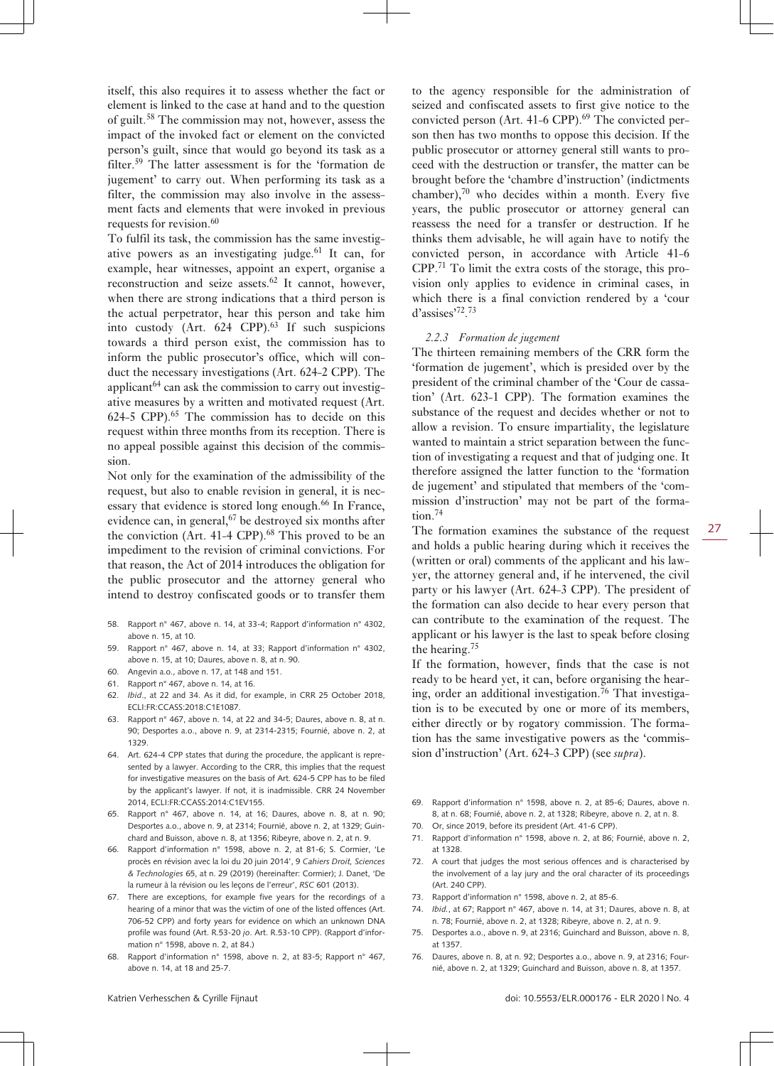itself, this also requires it to assess whether the fact or element is linked to the case at hand and to the question of guilt.<sup>58</sup> The commission may not, however, assess the impact of the invoked fact or element on the convicted person's guilt, since that would go beyond its task as a filter.<sup>59</sup> The latter assessment is for the 'formation de jugement' to carry out. When performing its task as a filter, the commission may also involve in the assessment facts and elements that were invoked in previous requests for revision.<sup>60</sup>

To fulfil its task, the commission has the same investigative powers as an investigating judge.<sup>61</sup> It can, for example, hear witnesses, appoint an expert, organise a reconstruction and seize assets.<sup>62</sup> It cannot, however, when there are strong indications that a third person is the actual perpetrator, hear this person and take him into custody (Art.  $624$  CPP).<sup>63</sup> If such suspicions towards a third person exist, the commission has to inform the public prosecutor's office, which will conduct the necessary investigations (Art. 624-2 CPP). The applicant $64$  can ask the commission to carry out investigative measures by a written and motivated request (Art.  $624-5$  CPP<sup>65</sup>. The commission has to decide on this request within three months from its reception. There is no appeal possible against this decision of the commission.

Not only for the examination of the admissibility of the request, but also to enable revision in general, it is necessary that evidence is stored long enough.<sup>66</sup> In France, evidence can, in general, <sup>67</sup> be destroyed six months after the conviction (Art.  $41-4$  CPP).<sup>68</sup> This proved to be an impediment to the revision of criminal convictions. For that reason, the Act of 2014 introduces the obligation for the public prosecutor and the attorney general who intend to destroy confiscated goods or to transfer them

- 58. Rapport n° 467, above n. 14, at 33-4; Rapport d'information n° 4302, above n. 15, at 10.
- 59. Rapport n° 467, above n. 14, at 33; Rapport d'information n° 4302, above n. 15, at 10; Daures, above n. 8, at n. 90.
- 60. Angevin a.o., above n. 17, at 148 and 151.
- 61. Rapport n° 467, above n. 14, at 16.
- 62. *Ibid*., at 22 and 34. As it did, for example, in CRR 25 October 2018, ECLI:FR:CCASS:2018:C1E1087.
- 63. Rapport n° 467, above n. 14, at 22 and 34-5; Daures, above n. 8, at n. 90; Desportes a.o., above n. 9, at 2314-2315; Fournié, above n. 2, at 1329.
- 64. Art. 624-4 CPP states that during the procedure, the applicant is represented by a lawyer. According to the CRR, this implies that the request for investigative measures on the basis of Art. 624-5 CPP has to be filed by the applicant's lawyer. If not, it is inadmissible. CRR 24 November 2014, ECLI:FR:CCASS:2014:C1EV155.
- 65. Rapport n° 467, above n. 14, at 16; Daures, above n. 8, at n. 90; Desportes a.o., above n. 9, at 2314; Fournié, above n. 2, at 1329; Guinchard and Buisson, above n. 8, at 1356; Ribeyre, above n. 2, at n. 9.
- 66. Rapport d'information n° 1598, above n. 2, at 81-6; S. Cormier, 'Le procès en révision avec la loi du 20 juin 2014', 9 *Cahiers Droit, Sciences & Technologies* 65, at n. 29 (2019) (hereinafter: Cormier); J. Danet, 'De la rumeur à la révision ou les leçons de l'erreur', *RSC* 601 (2013).
- 67. There are exceptions, for example five years for the recordings of a hearing of a minor that was the victim of one of the listed offences (Art. 706-52 CPP) and forty years for evidence on which an unknown DNA profile was found (Art. R.53-20 *jo*. Art. R.53-10 CPP). (Rapport d'information n° 1598, above n. 2, at 84.)
- 68. Rapport d'information n° 1598, above n. 2, at 83-5; Rapport n° 467, above n. 14, at 18 and 25-7.

to the agency responsible for the administration of seized and confiscated assets to first give notice to the convicted person (Art.  $41-6$  CPP).<sup>69</sup> The convicted person then has two months to oppose this decision. If the public prosecutor or attorney general still wants to proceed with the destruction or transfer, the matter can be brought before the 'chambre d'instruction' (indictments chamber), $70$  who decides within a month. Every five years, the public prosecutor or attorney general can reassess the need for a transfer or destruction. If he thinks them advisable, he will again have to notify the convicted person, in accordance with Article 41-6 CPP.71 To limit the extra costs of the storage, this provision only applies to evidence in criminal cases, in which there is a final conviction rendered by a 'cour d'assises'<sup>72</sup> . 73

#### *2.2.3 Formation de jugement*

The thirteen remaining members of the CRR form the 'formation de jugement', which is presided over by the president of the criminal chamber of the 'Cour de cassation' (Art. 623-1 CPP). The formation examines the substance of the request and decides whether or not to allow a revision. To ensure impartiality, the legislature wanted to maintain a strict separation between the function of investigating a request and that of judging one. It therefore assigned the latter function to the 'formation de jugement' and stipulated that members of the 'commission d'instruction' may not be part of the formation.<sup>74</sup>

The formation examines the substance of the request and holds a public hearing during which it receives the (written or oral) comments of the applicant and his lawyer, the attorney general and, if he intervened, the civil party or his lawyer (Art. 624-3 CPP). The president of the formation can also decide to hear every person that can contribute to the examination of the request. The applicant or his lawyer is the last to speak before closing the hearing.<sup>75</sup>

If the formation, however, finds that the case is not ready to be heard yet, it can, before organising the hearing, order an additional investigation.<sup>76</sup> That investigation is to be executed by one or more of its members, either directly or by rogatory commission. The formation has the same investigative powers as the 'commission d'instruction' (Art. 624-3 CPP) (see *supra*).

- 69. Rapport d'information n° 1598, above n. 2, at 85-6; Daures, above n. 8, at n. 68; Fournié, above n. 2, at 1328; Ribeyre, above n. 2, at n. 8.
- 70. Or, since 2019, before its president (Art. 41-6 CPP).
- 71. Rapport d'information n° 1598, above n. 2, at 86; Fournié, above n. 2, at 1328.
- 72. A court that judges the most serious offences and is characterised by the involvement of a lay jury and the oral character of its proceedings (Art. 240 CPP).
- 73. Rapport d'information n° 1598, above n. 2, at 85-6.
- 74. *Ibid.*, at 67; Rapport n° 467, above n. 14, at 31; Daures, above n. 8, at n. 78; Fournié, above n. 2, at 1328; Ribeyre, above n. 2, at n. 9.
- 75. Desportes a.o., above n. 9, at 2316; Guinchard and Buisson, above n. 8, at 1357.
- 76. Daures, above n. 8, at n. 92; Desportes a.o., above n. 9, at 2316; Fournié, above n. 2, at 1329; Guinchard and Buisson, above n. 8, at 1357.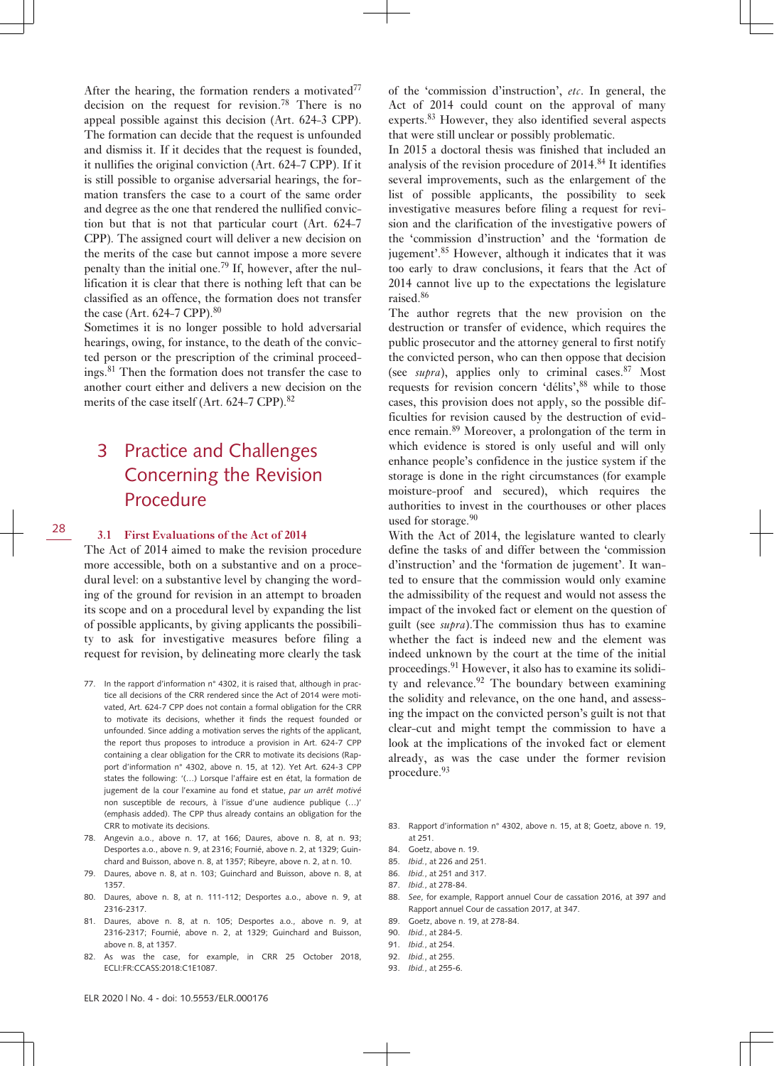After the hearing, the formation renders a motivated $77$ decision on the request for revision.<sup>78</sup> There is no appeal possible against this decision (Art. 624-3 CPP). The formation can decide that the request is unfounded and dismiss it. If it decides that the request is founded, it nullifies the original conviction (Art. 624-7 CPP). If it is still possible to organise adversarial hearings, the formation transfers the case to a court of the same order and degree as the one that rendered the nullified conviction but that is not that particular court (Art. 624-7 CPP). The assigned court will deliver a new decision on the merits of the case but cannot impose a more severe penalty than the initial one.79 If, however, after the nullification it is clear that there is nothing left that can be classified as an offence, the formation does not transfer the case (Art.  $624-7$  CPP). $80$ 

Sometimes it is no longer possible to hold adversarial hearings, owing, for instance, to the death of the convicted person or the prescription of the criminal proceedings.<sup>81</sup> Then the formation does not transfer the case to another court either and delivers a new decision on the merits of the case itself (Art. 624-7 CPP).<sup>82</sup>

## 3 Practice and Challenges Concerning the Revision Procedure

#### **3.1 First Evaluations of the Act of 2014**

The Act of 2014 aimed to make the revision procedure more accessible, both on a substantive and on a procedural level: on a substantive level by changing the wording of the ground for revision in an attempt to broaden its scope and on a procedural level by expanding the list of possible applicants, by giving applicants the possibility to ask for investigative measures before filing a request for revision, by delineating more clearly the task

- 77. In the rapport d'information n° 4302, it is raised that, although in practice all decisions of the CRR rendered since the Act of 2014 were motivated, Art. 624-7 CPP does not contain a formal obligation for the CRR to motivate its decisions, whether it finds the request founded or unfounded. Since adding a motivation serves the rights of the applicant, the report thus proposes to introduce a provision in Art. 624-7 CPP containing a clear obligation for the CRR to motivate its decisions (Rapport d'information n° 4302, above n. 15, at 12). Yet Art. 624-3 CPP states the following: '(…) Lorsque l'affaire est en état, la formation de jugement de la cour l'examine au fond et statue, *par un arrêt motivé* non susceptible de recours, à l'issue d'une audience publique (…)' (emphasis added). The CPP thus already contains an obligation for the CRR to motivate its decisions.
- 78. Angevin a.o., above n. 17, at 166; Daures, above n. 8, at n. 93; Desportes a.o., above n. 9, at 2316; Fournié, above n. 2, at 1329; Guinchard and Buisson, above n. 8, at 1357; Ribeyre, above n. 2, at n. 10.
- 79. Daures, above n. 8, at n. 103; Guinchard and Buisson, above n. 8, at 1357.
- 80. Daures, above n. 8, at n. 111-112; Desportes a.o., above n. 9, at 2316-2317.
- 81. Daures, above n. 8, at n. 105; Desportes a.o., above n. 9, at 2316-2317; Fournié, above n. 2, at 1329; Guinchard and Buisson, above n. 8, at 1357.
- 82. As was the case, for example, in CRR 25 October 2018, ECLI:FR:CCASS:2018:C1E1087.

of the 'commission d'instruction', *etc*. In general, the Act of 2014 could count on the approval of many experts.<sup>83</sup> However, they also identified several aspects that were still unclear or possibly problematic.

In 2015 a doctoral thesis was finished that included an analysis of the revision procedure of  $2014<sup>84</sup>$  It identifies several improvements, such as the enlargement of the list of possible applicants, the possibility to seek investigative measures before filing a request for revision and the clarification of the investigative powers of the 'commission d'instruction' and the 'formation de jugement'.<sup>85</sup> However, although it indicates that it was too early to draw conclusions, it fears that the Act of 2014 cannot live up to the expectations the legislature raised.<sup>86</sup>

The author regrets that the new provision on the destruction or transfer of evidence, which requires the public prosecutor and the attorney general to first notify the convicted person, who can then oppose that decision (see  $\textit{supra}$ ), applies only to criminal cases.<sup>87</sup> Most requests for revision concern 'délits', 88 while to those cases, this provision does not apply, so the possible difficulties for revision caused by the destruction of evidence remain.89 Moreover, a prolongation of the term in which evidence is stored is only useful and will only enhance people's confidence in the justice system if the storage is done in the right circumstances (for example moisture-proof and secured), which requires the authorities to invest in the courthouses or other places used for storage.<sup>90</sup>

With the Act of 2014, the legislature wanted to clearly define the tasks of and differ between the 'commission d'instruction' and the 'formation de jugement'. It wanted to ensure that the commission would only examine the admissibility of the request and would not assess the impact of the invoked fact or element on the question of guilt (see *supra*).The commission thus has to examine whether the fact is indeed new and the element was indeed unknown by the court at the time of the initial proceedings.91 However, it also has to examine its solidity and relevance.<sup>92</sup> The boundary between examining the solidity and relevance, on the one hand, and assessing the impact on the convicted person's guilt is not that clear-cut and might tempt the commission to have a look at the implications of the invoked fact or element already, as was the case under the former revision procedure.<sup>93</sup>

- 83. Rapport d'information n° 4302, above n. 15, at 8: Goetz, above n. 19, at 251.
- 84. Goetz, above n. 19.
- 85. *Ibid.*, at 226 and 251.
- 86. *Ibid.*, at 251 and 317.
- 87. *Ibid.*, at 278-84.
- 88. *See*, for example, Rapport annuel Cour de cassation 2016, at 397 and Rapport annuel Cour de cassation 2017, at 347.
- 89. Goetz, above n. 19, at 278-84.
- 90. *Ibid.*, at 284-5.
- 91. *Ibid.*, at 254.
- 92. *Ibid.*, at 255.
- 93. *Ibid.*, at 255-6.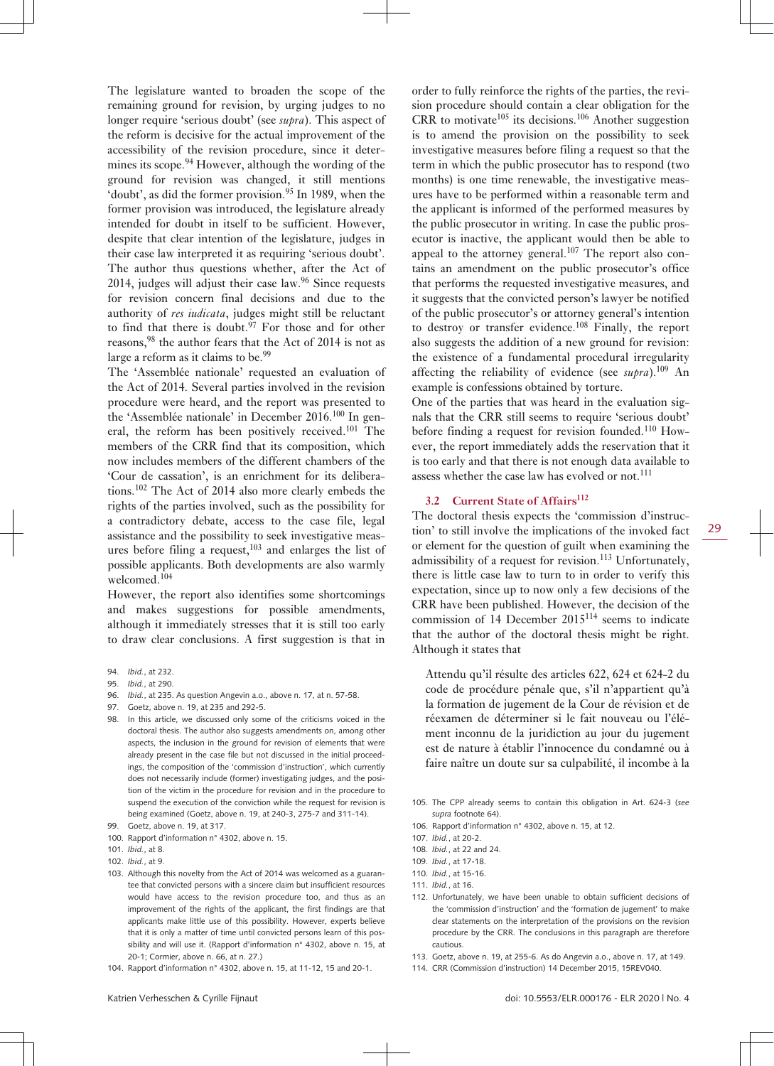The legislature wanted to broaden the scope of the remaining ground for revision, by urging judges to no longer require 'serious doubt' (see *supra*). This aspect of the reform is decisive for the actual improvement of the accessibility of the revision procedure, since it determines its scope.<sup>94</sup> However, although the wording of the ground for revision was changed, it still mentions 'doubt', as did the former provision.<sup>95</sup> In 1989, when the former provision was introduced, the legislature already intended for doubt in itself to be sufficient. However, despite that clear intention of the legislature, judges in their case law interpreted it as requiring 'serious doubt'. The author thus questions whether, after the Act of 2014, judges will adjust their case law. $96$  Since requests for revision concern final decisions and due to the authority of *res iudicata*, judges might still be reluctant to find that there is doubt.<sup>97</sup> For those and for other reasons,<sup>98</sup> the author fears that the Act of 2014 is not as large a reform as it claims to be.<sup>99</sup>

The 'Assemblée nationale' requested an evaluation of the Act of 2014. Several parties involved in the revision procedure were heard, and the report was presented to the 'Assemblée nationale' in December 2016.<sup>100</sup> In general, the reform has been positively received.<sup>101</sup> The members of the CRR find that its composition, which now includes members of the different chambers of the 'Cour de cassation', is an enrichment for its deliberations.102 The Act of 2014 also more clearly embeds the rights of the parties involved, such as the possibility for a contradictory debate, access to the case file, legal assistance and the possibility to seek investigative measures before filing a request,  $103$  and enlarges the list of possible applicants. Both developments are also warmly welcomed.<sup>104</sup>

However, the report also identifies some shortcomings and makes suggestions for possible amendments, although it immediately stresses that it is still too early to draw clear conclusions. A first suggestion is that in

- 96. *Ibid.*, at 235. As question Angevin a.o., above n. 17, at n. 57-58.
- 97. Goetz, above n. 19, at 235 and 292-5.
- 98. In this article, we discussed only some of the criticisms voiced in the doctoral thesis. The author also suggests amendments on, among other aspects, the inclusion in the ground for revision of elements that were already present in the case file but not discussed in the initial proceedings, the composition of the 'commission d'instruction', which currently does not necessarily include (former) investigating judges, and the position of the victim in the procedure for revision and in the procedure to suspend the execution of the conviction while the request for revision is being examined (Goetz, above n. 19, at 240-3, 275-7 and 311-14).
- 99. Goetz, above n. 19, at 317.
- 100. Rapport d'information n° 4302, above n. 15.
- 101. *Ibid.*, at 8.
- 102. *Ibid.*, at 9.
- 103. Although this novelty from the Act of 2014 was welcomed as a guarantee that convicted persons with a sincere claim but insufficient resources would have access to the revision procedure too, and thus as an improvement of the rights of the applicant, the first findings are that applicants make little use of this possibility. However, experts believe that it is only a matter of time until convicted persons learn of this possibility and will use it. (Rapport d'information n° 4302, above n. 15, at 20-1; Cormier, above n. 66, at n. 27.)
- 104. Rapport d'information n° 4302, above n. 15, at 11-12, 15 and 20-1.

order to fully reinforce the rights of the parties, the revision procedure should contain a clear obligation for the  $CRR$  to motivate<sup>105</sup> its decisions.<sup>106</sup> Another suggestion is to amend the provision on the possibility to seek investigative measures before filing a request so that the term in which the public prosecutor has to respond (two months) is one time renewable, the investigative measures have to be performed within a reasonable term and the applicant is informed of the performed measures by the public prosecutor in writing. In case the public prosecutor is inactive, the applicant would then be able to appeal to the attorney general.<sup>107</sup> The report also contains an amendment on the public prosecutor's office that performs the requested investigative measures, and it suggests that the convicted person's lawyer be notified of the public prosecutor's or attorney general's intention to destroy or transfer evidence.<sup>108</sup> Finally, the report also suggests the addition of a new ground for revision: the existence of a fundamental procedural irregularity affecting the reliability of evidence (see  $\textit{supra}$ ).<sup>109</sup> An example is confessions obtained by torture.

One of the parties that was heard in the evaluation signals that the CRR still seems to require 'serious doubt' before finding a request for revision founded.<sup>110</sup> However, the report immediately adds the reservation that it is too early and that there is not enough data available to assess whether the case law has evolved or not.<sup>111</sup>

#### **3.2 Current State of Affairs<sup>112</sup>**

The doctoral thesis expects the 'commission d'instruction' to still involve the implications of the invoked fact or element for the question of guilt when examining the admissibility of a request for revision.<sup>113</sup> Unfortunately, there is little case law to turn to in order to verify this expectation, since up to now only a few decisions of the CRR have been published. However, the decision of the commission of 14 December 2015114 seems to indicate that the author of the doctoral thesis might be right. Although it states that

Attendu qu'il résulte des articles 622, 624 et 624-2 du code de procédure pénale que, s'il n'appartient qu'à la formation de jugement de la Cour de révision et de réexamen de déterminer si le fait nouveau ou l'élément inconnu de la juridiction au jour du jugement est de nature à établir l'innocence du condamné ou à faire naître un doute sur sa culpabilité, il incombe à la

- 105. The CPP already seems to contain this obligation in Art. 624-3 (*see supra* footnote 64).
- 106. Rapport d'information n° 4302, above n. 15, at 12.

- 108. *Ibid.*, at 22 and 24.
- 109. *Ibid.*, at 17-18.
- 110. *Ibid.*, at 15-16.
- 111. *Ibid.*, at 16.
- 112. Unfortunately, we have been unable to obtain sufficient decisions of the 'commission d'instruction' and the 'formation de jugement' to make clear statements on the interpretation of the provisions on the revision procedure by the CRR. The conclusions in this paragraph are therefore cautious.
- 113. Goetz, above n. 19, at 255-6. As do Angevin a.o., above n. 17, at 149.
- 114. CRR (Commission d'instruction) 14 December 2015, 15REV040.

<sup>94.</sup> *Ibid.*, at 232.

<sup>95.</sup> *Ibid.*, at 290.

<sup>107.</sup> *Ibid.*, at 20-2.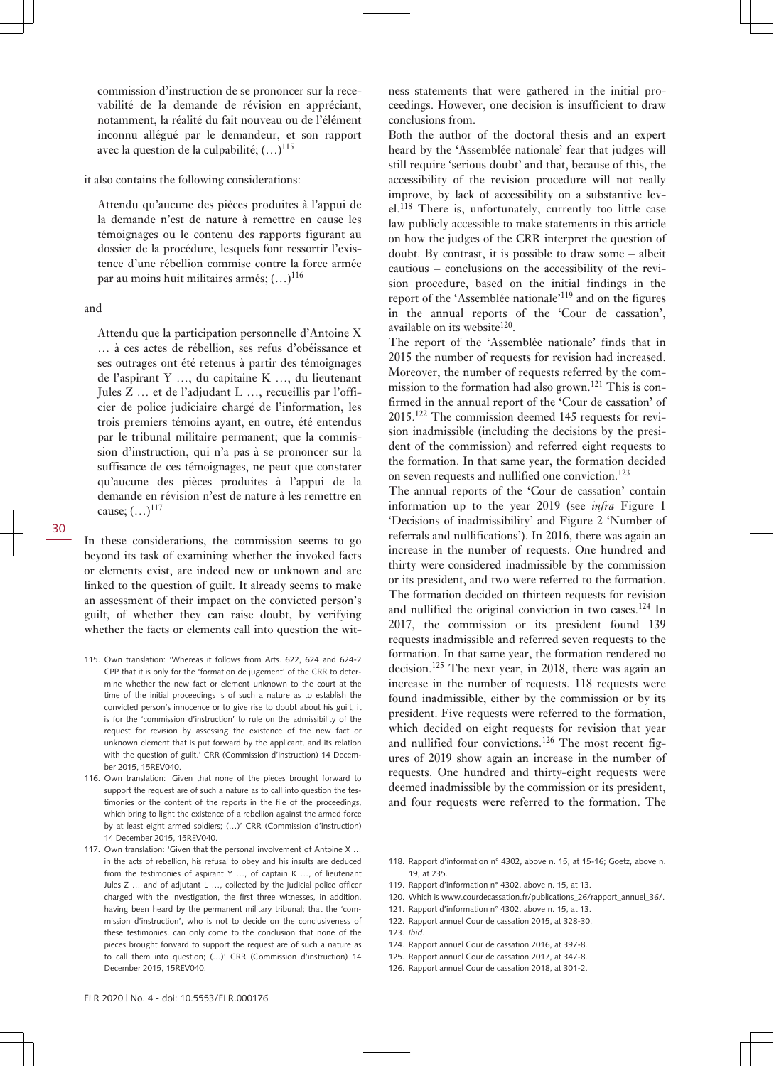commission d'instruction de se prononcer sur la recevabilité de la demande de révision en appréciant, notamment, la réalité du fait nouveau ou de l'élément inconnu allégué par le demandeur, et son rapport avec la question de la culpabilité;  $(...)^{115}$ 

it also contains the following considerations:

Attendu qu'aucune des pièces produites à l'appui de la demande n'est de nature à remettre en cause les témoignages ou le contenu des rapports figurant au dossier de la procédure, lesquels font ressortir l'existence d'une rébellion commise contre la force armée par au moins huit militaires armés; (…)<sup>116</sup>

#### and

Attendu que la participation personnelle d'Antoine X … à ces actes de rébellion, ses refus d'obéissance et ses outrages ont été retenus à partir des témoignages de l'aspirant Y …, du capitaine K …, du lieutenant Jules Z … et de l'adjudant L …, recueillis par l'officier de police judiciaire chargé de l'information, les trois premiers témoins ayant, en outre, été entendus par le tribunal militaire permanent; que la commission d'instruction, qui n'a pas à se prononcer sur la suffisance de ces témoignages, ne peut que constater qu'aucune des pièces produites à l'appui de la demande en révision n'est de nature à les remettre en cause;  $(...)^{117}$ 

In these considerations, the commission seems to go beyond its task of examining whether the invoked facts or elements exist, are indeed new or unknown and are linked to the question of guilt. It already seems to make an assessment of their impact on the convicted person's guilt, of whether they can raise doubt, by verifying whether the facts or elements call into question the wit-

- 115. Own translation: 'Whereas it follows from Arts. 622, 624 and 624-2 CPP that it is only for the 'formation de jugement' of the CRR to determine whether the new fact or element unknown to the court at the time of the initial proceedings is of such a nature as to establish the convicted person's innocence or to give rise to doubt about his guilt, it is for the 'commission d'instruction' to rule on the admissibility of the request for revision by assessing the existence of the new fact or unknown element that is put forward by the applicant, and its relation with the question of guilt.' CRR (Commission d'instruction) 14 December 2015, 15REV040.
- 116. Own translation: 'Given that none of the pieces brought forward to support the request are of such a nature as to call into question the testimonies or the content of the reports in the file of the proceedings, which bring to light the existence of a rebellion against the armed force by at least eight armed soldiers; (…)' CRR (Commission d'instruction) 14 December 2015, 15REV040.
- 117. Own translation: 'Given that the personal involvement of Antoine X … in the acts of rebellion, his refusal to obey and his insults are deduced from the testimonies of aspirant Y …, of captain K …, of lieutenant Jules Z … and of adjutant L …, collected by the judicial police officer charged with the investigation, the first three witnesses, in addition, having been heard by the permanent military tribunal; that the 'commission d'instruction', who is not to decide on the conclusiveness of these testimonies, can only come to the conclusion that none of the pieces brought forward to support the request are of such a nature as to call them into question; (…)' CRR (Commission d'instruction) 14 December 2015, 15REV040.

ness statements that were gathered in the initial proceedings. However, one decision is insufficient to draw conclusions from.

Both the author of the doctoral thesis and an expert heard by the 'Assemblée nationale' fear that judges will still require 'serious doubt' and that, because of this, the accessibility of the revision procedure will not really improve, by lack of accessibility on a substantive level.<sup>118</sup> There is, unfortunately, currently too little case law publicly accessible to make statements in this article on how the judges of the CRR interpret the question of doubt. By contrast, it is possible to draw some – albeit cautious – conclusions on the accessibility of the revision procedure, based on the initial findings in the report of the 'Assemblée nationale'<sup>119</sup> and on the figures in the annual reports of the 'Cour de cassation', available on its website<sup>120</sup>.

The report of the 'Assemblée nationale' finds that in 2015 the number of requests for revision had increased. Moreover, the number of requests referred by the commission to the formation had also grown.<sup>121</sup> This is confirmed in the annual report of the 'Cour de cassation' of 2015.122 The commission deemed 145 requests for revision inadmissible (including the decisions by the president of the commission) and referred eight requests to the formation. In that same year, the formation decided on seven requests and nullified one conviction.<sup>123</sup>

The annual reports of the 'Cour de cassation' contain information up to the year 2019 (see *infra* Figure 1 'Decisions of inadmissibility' and Figure 2 'Number of referrals and nullifications'). In 2016, there was again an increase in the number of requests. One hundred and thirty were considered inadmissible by the commission or its president, and two were referred to the formation. The formation decided on thirteen requests for revision and nullified the original conviction in two cases.<sup>124</sup> In 2017, the commission or its president found 139 requests inadmissible and referred seven requests to the formation. In that same year, the formation rendered no decision.125 The next year, in 2018, there was again an increase in the number of requests. 118 requests were found inadmissible, either by the commission or by its president. Five requests were referred to the formation, which decided on eight requests for revision that year and nullified four convictions.<sup>126</sup> The most recent figures of 2019 show again an increase in the number of requests. One hundred and thirty-eight requests were deemed inadmissible by the commission or its president, and four requests were referred to the formation. The

- 120. Which is [www.courdecassation.fr/publications\\_26/rapport\\_annuel\\_36/.](http://www.courdecassation.fr/publications_26/rapport_annuel_36/)
- 121. Rapport d'information n° 4302, above n. 15, at 13.
- 122. Rapport annuel Cour de cassation 2015, at 328-30.
- 123. *Ibid*.
- 124. Rapport annuel Cour de cassation 2016, at 397-8.
- 125. Rapport annuel Cour de cassation 2017, at 347-8.
- 126. Rapport annuel Cour de cassation 2018, at 301-2.

<sup>118.</sup> Rapport d'information n° 4302, above n. 15, at 15-16; Goetz, above n. 19, at 235.

<sup>119.</sup> Rapport d'information n° 4302, above n. 15, at 13.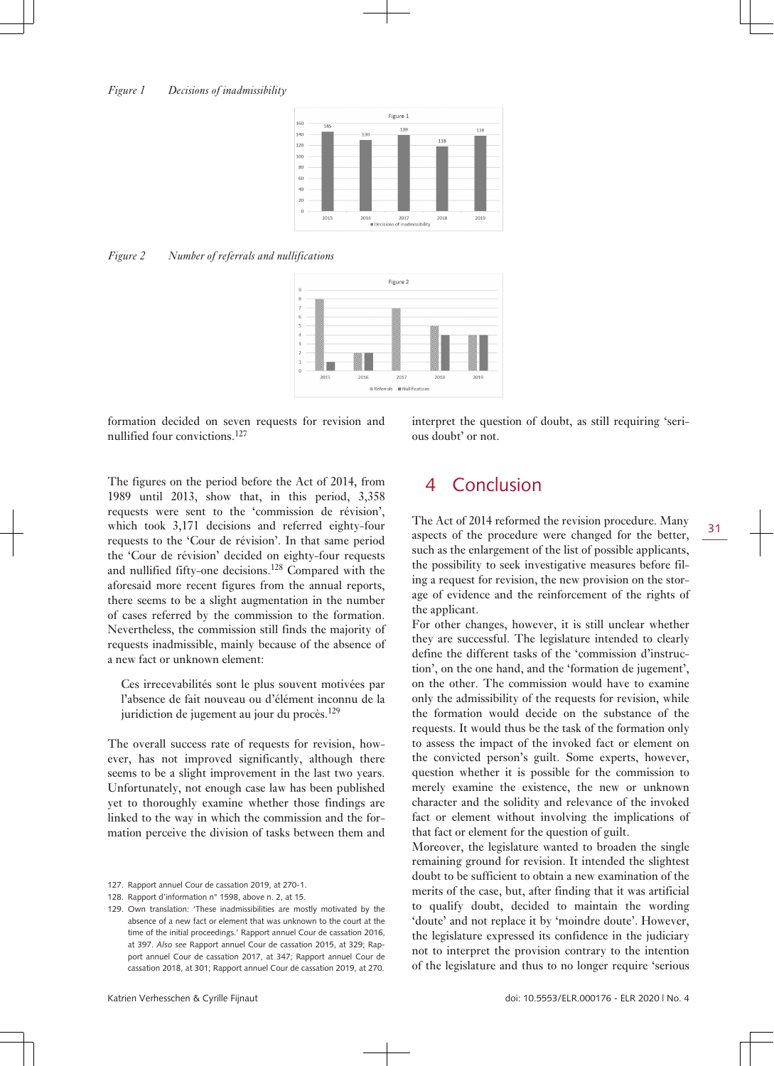

#### *Figure 2 Number of referrals and nullifications*



formation decided on seven requests for revision and nullified four convictions.<sup>127</sup>

interpret the question of doubt, as still requiring 'serious doubt' or not.

The figures on the period before the Act of 2014, from 1989 until 2013, show that, in this period, 3,358 requests were sent to the 'commission de révision', which took 3,171 decisions and referred eighty-four requests to the 'Cour de révision'. In that same period the 'Cour de révision' decided on eighty-four requests and nullified fifty-one decisions.128 Compared with the aforesaid more recent figures from the annual reports, there seems to be a slight augmentation in the number of cases referred by the commission to the formation. Nevertheless, the commission still finds the majority of requests inadmissible, mainly because of the absence of a new fact or unknown element:

Ces irrecevabilités sont le plus souvent motivées par l'absence de fait nouveau ou d'élément inconnu de la juridiction de jugement au jour du procès.<sup>129</sup>

The overall success rate of requests for revision, however, has not improved significantly, although there seems to be a slight improvement in the last two years. Unfortunately, not enough case law has been published yet to thoroughly examine whether those findings are linked to the way in which the commission and the formation perceive the division of tasks between them and

- 127. Rapport annuel Cour de cassation 2019, at 270-1.
- 128. Rapport d'information n° 1598, above n. 2, at 15.
- 129. Own translation: 'These inadmissibilities are mostly motivated by the absence of a new fact or element that was unknown to the court at the time of the initial proceedings.' Rapport annuel Cour de cassation 2016, at 397. *Also see* Rapport annuel Cour de cassation 2015, at 329; Rapport annuel Cour de cassation 2017, at 347; Rapport annuel Cour de cassation 2018, at 301; Rapport annuel Cour de cassation 2019, at 270.

### 4 Conclusion

The Act of 2014 reformed the revision procedure. Many aspects of the procedure were changed for the better, such as the enlargement of the list of possible applicants, the possibility to seek investigative measures before filing a request for revision, the new provision on the storage of evidence and the reinforcement of the rights of the applicant.

For other changes, however, it is still unclear whether they are successful. The legislature intended to clearly define the different tasks of the 'commission d'instruction', on the one hand, and the 'formation de jugement', on the other. The commission would have to examine only the admissibility of the requests for revision, while the formation would decide on the substance of the requests. It would thus be the task of the formation only to assess the impact of the invoked fact or element on the convicted person's guilt. Some experts, however, question whether it is possible for the commission to merely examine the existence, the new or unknown character and the solidity and relevance of the invoked fact or element without involving the implications of that fact or element for the question of guilt.

Moreover, the legislature wanted to broaden the single remaining ground for revision. It intended the slightest doubt to be sufficient to obtain a new examination of the merits of the case, but, after finding that it was artificial to qualify doubt, decided to maintain the wording 'doute' and not replace it by 'moindre doute'. However, the legislature expressed its confidence in the judiciary not to interpret the provision contrary to the intention of the legislature and thus to no longer require 'serious